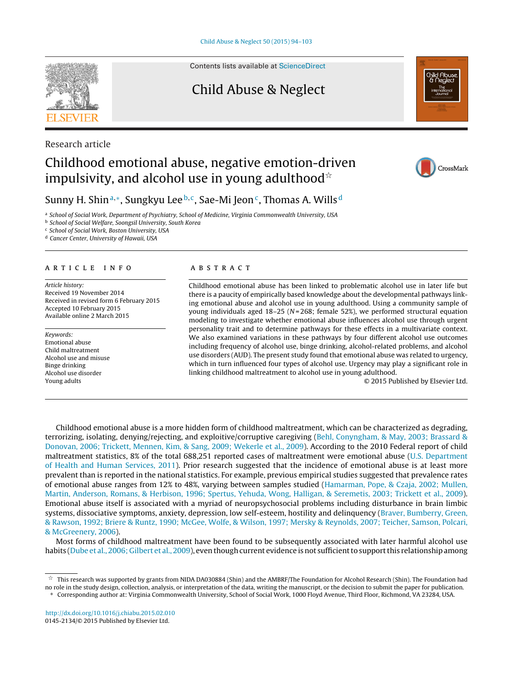

Research article

Contents lists available at [ScienceDirect](http://www.sciencedirect.com/science/journal/01452134)

### Child Abuse & Neglect



## Childhood emotional abuse, negative emotion-driven impulsivity, and alcohol use in young adulthood $^{\star}$



### Sunny H. Shin<sup>a,∗</sup>, Sungkyu Lee<sup>b,c</sup>, Sae-Mi Jeon<sup>c</sup>, Thomas A. Wills<sup>d</sup>

a School of Social Work, Department of Psychiatry, School of Medicine, Virginia Commonwealth University, USA

**b** School of Social Welfare, Soongsil University, South Korea

<sup>c</sup> School of Social Work, Boston University, USA

<sup>d</sup> Cancer Center, University of Hawaii, USA

#### a r t i c l e i n f o

Article history: Received 19 November 2014 Received in revised form 6 February 2015 Accepted 10 February 2015 Available online 2 March 2015

Keywords: Emotional abuse Child maltreatment Alcohol use and misuse Binge drinking Alcohol use disorder Young adults

#### A B S T R A C T

Childhood emotional abuse has been linked to problematic alcohol use in later life but there is a paucity of empirically based knowledge about the developmental pathways linking emotional abuse and alcohol use in young adulthood. Using a community sample of young individuals aged  $18-25$  ( $N = 268$ ; female 52%), we performed structural equation modeling to investigate whether emotional abuse influences alcohol use through urgent personality trait and to determine pathways for these effects in a multivariate context. We also examined variations in these pathways by four different alcohol use outcomes including frequency of alcohol use, binge drinking, alcohol-related problems, and alcohol use disorders (AUD). The present study found that emotional abuse was related to urgency, which in turn influenced four types of alcohol use. Urgency may play a significant role in linking childhood maltreatment to alcohol use in young adulthood.

© 2015 Published by Elsevier Ltd.

Childhood emotional abuse is a more hidden form of childhood maltreatment, which can be characterized as degrading, terrorizing, isolating, denying/rejecting, and exploitive/corruptive caregiving [\(Behl,](#page--1-0) [Conyngham,](#page--1-0) [&](#page--1-0) [May,](#page--1-0) [2003;](#page--1-0) [Brassard](#page--1-0) [&](#page--1-0) [Donovan,](#page--1-0) [2006;](#page--1-0) [Trickett,](#page--1-0) [Mennen,](#page--1-0) [Kim,](#page--1-0) [&](#page--1-0) [Sang,](#page--1-0) [2009;](#page--1-0) [Wekerle](#page--1-0) et [al.,](#page--1-0) [2009\).](#page--1-0) According to the 2010 Federal report of child maltreatment statistics, 8% of the total 688,251 reported cases of maltreatment were emotional abuse [\(U.S.](#page--1-0) [Department](#page--1-0) [of](#page--1-0) [Health](#page--1-0) [and](#page--1-0) [Human](#page--1-0) [Services,](#page--1-0) [2011\).](#page--1-0) Prior research suggested that the incidence of emotional abuse is at least more prevalent than is reported in the national statistics. For example, previous empirical studies suggested that prevalence rates of emotional abuse ranges from 12% to 48%, varying between samples studied ([Hamarman,](#page--1-0) [Pope,](#page--1-0) [&](#page--1-0) [Czaja,](#page--1-0) [2002;](#page--1-0) [Mullen,](#page--1-0) [Martin,](#page--1-0) [Anderson,](#page--1-0) [Romans,](#page--1-0) [&](#page--1-0) [Herbison,](#page--1-0) [1996;](#page--1-0) [Spertus,](#page--1-0) [Yehuda,](#page--1-0) [Wong,](#page--1-0) [Halligan,](#page--1-0) [&](#page--1-0) [Seremetis,](#page--1-0) [2003;](#page--1-0) [Trickett](#page--1-0) et [al.,](#page--1-0) [2009\).](#page--1-0) Emotional abuse itself is associated with a myriad of neuropsychosocial problems including disturbance in brain limbic systems, dissociative symptoms, anxiety, depression, low self-esteem, hostility and delinquency [\(Braver,](#page--1-0) [Bumberry,](#page--1-0) [Green,](#page--1-0) [&](#page--1-0) [Rawson,](#page--1-0) [1992;](#page--1-0) [Briere](#page--1-0) [&](#page--1-0) [Runtz,](#page--1-0) [1990;](#page--1-0) [McGee,](#page--1-0) [Wolfe,](#page--1-0) [&](#page--1-0) [Wilson,](#page--1-0) [1997;](#page--1-0) [Mersky](#page--1-0) [&](#page--1-0) [Reynolds,](#page--1-0) [2007;](#page--1-0) [Teicher,](#page--1-0) [Samson,](#page--1-0) [Polcari,](#page--1-0) [&](#page--1-0) [McGreenery,](#page--1-0) [2006\).](#page--1-0)

Most forms of childhood maltreatment have been found to be subsequently associated with later harmful alcohol use habits ([Dube](#page--1-0) et [al.,](#page--1-0) [2006;](#page--1-0) [Gilbert](#page--1-0) et al., [2009\),](#page--1-0) even though current evidence is not sufficient to support this relationship among

A, This research was supported by grants from NIDA DA030884 (Shin) and the AMBRF/The Foundation for Alcohol Research (Shin). The Foundation had no role in the study design, collection, analysis, or interpretation of the data, writing the manuscript, or the decision to submit the paper for publication.

<sup>∗</sup> Corresponding author at: Virginia Commonwealth University, School of Social Work, 1000 Floyd Avenue, Third Floor, Richmond, VA 23284, USA.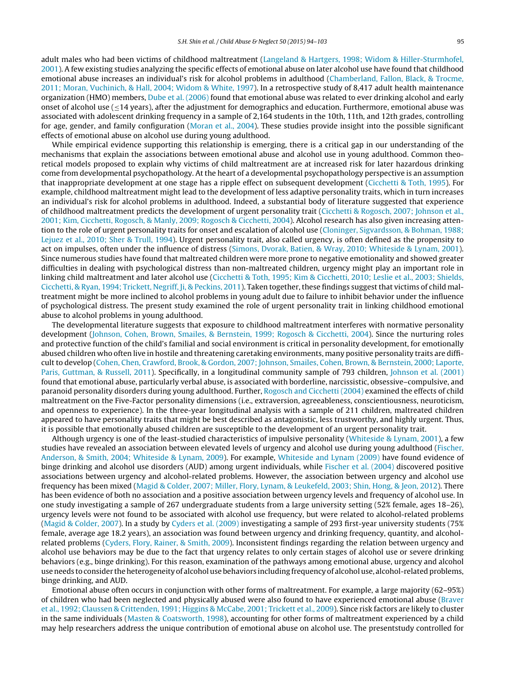adult males who had been victims of childhood maltreatment ([Langeland](#page--1-0) [&](#page--1-0) [Hartgers,](#page--1-0) [1998;](#page--1-0) [Widom](#page--1-0) & [Hiller-Sturmhofel,](#page--1-0) [2001\).](#page--1-0) A few existing studies analyzing the specific effects of emotional abuse on later alcohol use have found that childhood emotional abuse increases an individual's risk for alcohol problems in adulthood [\(Chamberland,](#page--1-0) [Fallon,](#page--1-0) [Black,](#page--1-0) [&](#page--1-0) [Trocme,](#page--1-0) [2011;](#page--1-0) [Moran,](#page--1-0) [Vuchinich,](#page--1-0) [&](#page--1-0) [Hall,](#page--1-0) [2004;](#page--1-0) [Widom](#page--1-0) [&](#page--1-0) [White,](#page--1-0) [1997\).](#page--1-0) In a retrospective study of 8,417 adult health maintenance organization (HMO) members, [Dube](#page--1-0) et [al.](#page--1-0) [\(2006\)](#page--1-0) found that emotional abuse was related to ever drinking alcohol and early onset of alcohol use (≤14 years), after the adjustment for demographics and education. Furthermore, emotional abuse was associated with adolescent drinking frequency in a sample of 2,164 students in the 10th, 11th, and 12th grades, controlling for age, gender, and family configuration [\(Moran](#page--1-0) et [al.,](#page--1-0) [2004\).](#page--1-0) These studies provide insight into the possible significant effects of emotional abuse on alcohol use during young adulthood.

While empirical evidence supporting this relationship is emerging, there is a critical gap in our understanding of the mechanisms that explain the associations between emotional abuse and alcohol use in young adulthood. Common theoretical models proposed to explain why victims of child maltreatment are at increased risk for later hazardous drinking come from developmental psychopathology. At the heart of a developmental psychopathology perspective is an assumption that inappropriate development at one stage has a ripple effect on subsequent development ([Cicchetti](#page--1-0) [&](#page--1-0) [Toth,](#page--1-0) [1995\).](#page--1-0) For example, childhood maltreatment might lead to the development of less adaptive personality traits, which in turn increases an individual's risk for alcohol problems in adulthood. Indeed, a substantial body of literature suggested that experience of childhood maltreatment predicts the development of urgent personality trait [\(Cicchetti](#page--1-0) [&](#page--1-0) [Rogosch,](#page--1-0) [2007;](#page--1-0) [Johnson](#page--1-0) et [al.,](#page--1-0) [2001;](#page--1-0) [Kim,](#page--1-0) [Cicchetti,](#page--1-0) [Rogosch,](#page--1-0) [&](#page--1-0) [Manly,](#page--1-0) [2009;](#page--1-0) [Rogosch](#page--1-0) [&](#page--1-0) [Cicchetti,](#page--1-0) [2004\).](#page--1-0) Alcohol research has also given increasing atten-tion to the role of urgent personality traits for onset and escalation of alcohol use ([Cloninger,](#page--1-0) [Sigvardsson,](#page--1-0) [&](#page--1-0) [Bohman,](#page--1-0) [1988;](#page--1-0) [Lejuez](#page--1-0) et [al.,](#page--1-0) [2010;](#page--1-0) [Sher](#page--1-0) [&](#page--1-0) [Trull,](#page--1-0) [1994\).](#page--1-0) Urgent personality trait, also called urgency, is often defined as the propensity to act on impulses, often under the influence of distress ([Simons,](#page--1-0) [Dvorak,](#page--1-0) [Batien,](#page--1-0) [&](#page--1-0) [Wray,](#page--1-0) [2010;](#page--1-0) [Whiteside](#page--1-0) [&](#page--1-0) [Lynam,](#page--1-0) [2001\).](#page--1-0) Since numerous studies have found that maltreated children were more prone to negative emotionality and showed greater difficulties in dealing with psychological distress than non-maltreated children, urgency might play an important role in linking child maltreatment and later alcohol use [\(Cicchetti](#page--1-0) [&](#page--1-0) [Toth,](#page--1-0) [1995;](#page--1-0) [Kim](#page--1-0) & [Cicchetti,](#page--1-0) [2010;](#page--1-0) [Leslie](#page--1-0) et [al.,](#page--1-0) [2003;](#page--1-0) [Shields,](#page--1-0) [Cicchetti,](#page--1-0) [&](#page--1-0) [Ryan,](#page--1-0) [1994;](#page--1-0) [Trickett,](#page--1-0) [Negriff,](#page--1-0) [Ji,](#page--1-0) & [Peckins,](#page--1-0) [2011\).](#page--1-0) Taken together, these findings suggest that victims of child maltreatment might be more inclined to alcohol problems in young adult due to failure to inhibit behavior under the influence of psychological distress. The present study examined the role of urgent personality trait in linking childhood emotional abuse to alcohol problems in young adulthood.

The developmental literature suggests that exposure to childhood maltreatment interferes with normative personality development [\(Johnson,](#page--1-0) [Cohen,](#page--1-0) [Brown,](#page--1-0) [Smailes,](#page--1-0) [&](#page--1-0) [Bernstein,](#page--1-0) [1999;](#page--1-0) [Rogosch](#page--1-0) [&](#page--1-0) [Cicchetti,](#page--1-0) [2004\).](#page--1-0) Since the nurturing roles and protective function of the child's familial and social environment is critical in personality development, for emotionally abused children who often live in hostile and threatening caretaking environments, many positive personality traits are difficult to develop ([Cohen,](#page--1-0) [Chen,](#page--1-0) [Crawford,](#page--1-0) [Brook,](#page--1-0) [&](#page--1-0) [Gordon,](#page--1-0) [2007;](#page--1-0) [Johnson,](#page--1-0) [Smailes,](#page--1-0) [Cohen,](#page--1-0) [Brown,](#page--1-0) [&](#page--1-0) [Bernstein,](#page--1-0) [2000;](#page--1-0) [Laporte,](#page--1-0) [Paris,](#page--1-0) [Guttman,](#page--1-0) [&](#page--1-0) [Russell,](#page--1-0) [2011\).](#page--1-0) Specifically, in a longitudinal community sample of 793 children, [Johnson](#page--1-0) et [al.](#page--1-0) [\(2001\)](#page--1-0) found that emotional abuse, particularly verbal abuse, is associated with borderline, narcissistic, obsessive–compulsive, and paranoid personality disorders during young adulthood. Further, [Rogosch](#page--1-0) [and](#page--1-0) [Cicchetti](#page--1-0) [\(2004\)](#page--1-0) examined the effects of child maltreatment on the Five-Factor personality dimensions (i.e., extraversion, agreeableness, conscientiousness, neuroticism, and openness to experience). In the three-year longitudinal analysis with a sample of 211 children, maltreated children appeared to have personality traits that might be best described as antagonistic, less trustworthy, and highly urgent. Thus, it is possible that emotionally abused children are susceptible to the development of an urgent personality trait.

Although urgency is one of the least-studied characteristics of impulsive personality ([Whiteside](#page--1-0) [&](#page--1-0) [Lynam,](#page--1-0) [2001\),](#page--1-0) a few studies have revealed an association between elevated levels of urgency and alcohol use during young adulthood [\(Fischer,](#page--1-0) [Anderson,](#page--1-0) [&](#page--1-0) [Smith,](#page--1-0) [2004;](#page--1-0) [Whiteside](#page--1-0) [&](#page--1-0) [Lynam,](#page--1-0) [2009\).](#page--1-0) For example, [Whiteside](#page--1-0) [and](#page--1-0) [Lynam](#page--1-0) [\(2009\)](#page--1-0) have found evidence of binge drinking and alcohol use disorders (AUD) among urgent individuals, while [Fischer](#page--1-0) et [al.](#page--1-0) [\(2004\)](#page--1-0) discovered positive associations between urgency and alcohol-related problems. However, the association between urgency and alcohol use frequency has been mixed [\(Magid](#page--1-0) [&](#page--1-0) [Colder,](#page--1-0) [2007;](#page--1-0) [Miller,](#page--1-0) [Flory,](#page--1-0) [Lynam,](#page--1-0) [&](#page--1-0) [Leukefeld,](#page--1-0) [2003;](#page--1-0) [Shin,](#page--1-0) [Hong,](#page--1-0) [&](#page--1-0) [Jeon,](#page--1-0) [2012\).](#page--1-0) There has been evidence of both no association and a positive association between urgency levels and frequency of alcohol use. In one study investigating a sample of 267 undergraduate students from a large university setting (52% female, ages 18–26), urgency levels were not found to be associated with alcohol use frequency, but were related to alcohol-related problems [\(Magid](#page--1-0) [&](#page--1-0) [Colder,](#page--1-0) [2007\).](#page--1-0) In a study by [Cyders](#page--1-0) et [al.](#page--1-0) [\(2009\)](#page--1-0) investigating a sample of 293 first-year university students (75% female, average age 18.2 years), an association was found between urgency and drinking frequency, quantity, and alcoholrelated problems ([Cyders,](#page--1-0) [Flory,](#page--1-0) [Rainer,](#page--1-0) [&](#page--1-0) [Smith,](#page--1-0) [2009\).](#page--1-0) Inconsistent findings regarding the relation between urgency and alcohol use behaviors may be due to the fact that urgency relates to only certain stages of alcohol use or severe drinking behaviors (e.g., binge drinking). For this reason, examination of the pathways among emotional abuse, urgency and alcohol use needs to consider the heterogeneity of alcohol use behaviors including frequency of alcohol use, alcohol-related problems, binge drinking, and AUD.

Emotional abuse often occurs in conjunction with other forms of maltreatment. For example, a large majority (62–95%) of children who had been neglected and physically abused were also found to have experienced emotional abuse [\(Braver](#page--1-0) et [al.,](#page--1-0) [1992;](#page--1-0) [Claussen](#page--1-0) [&](#page--1-0) [Crittenden,](#page--1-0) [1991;](#page--1-0) [Higgins](#page--1-0) [&](#page--1-0) [McCabe,](#page--1-0) [2001;](#page--1-0) [Trickett](#page--1-0) et [al.,](#page--1-0) [2009\).](#page--1-0) Since risk factors are likely to cluster in the same individuals [\(Masten](#page--1-0) [&](#page--1-0) [Coatsworth,](#page--1-0) [1998\),](#page--1-0) accounting for other forms of maltreatment experienced by a child may help researchers address the unique contribution of emotional abuse on alcohol use. The presentstudy controlled for